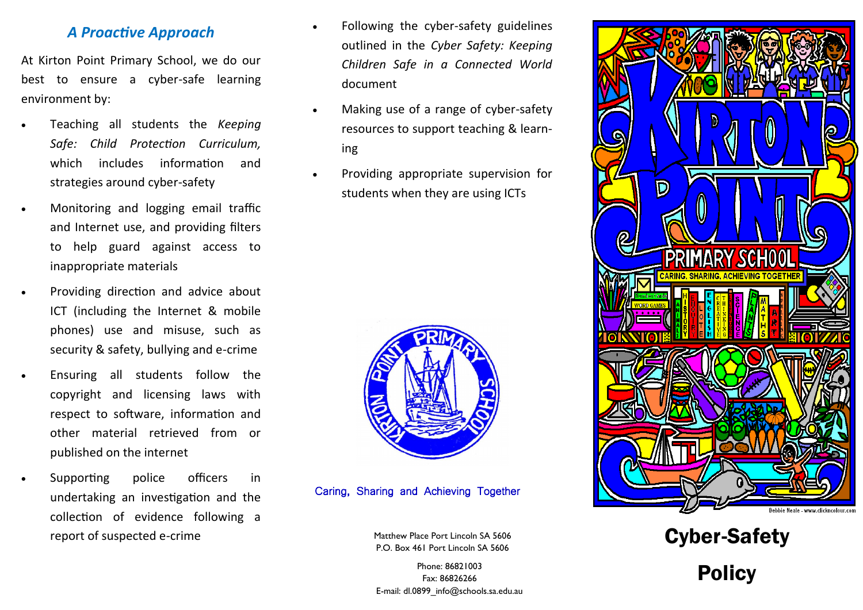### *A Proactive Approach*

At Kirton Point Primary School, we do our best to ensure a cyber-safe learning environment by:

- Teaching all students the *Keeping Safe: Child Protection Curriculum,*  which includes information and strategies around cyber-safety
- Monitoring and logging email traffic and Internet use, and providing filters to help guard against access to inappropriate materials
- Providing direction and advice about ICT (including the Internet & mobile phones) use and misuse, such as security & safety, bullying and e-crime
- Ensuring all students follow the copyright and licensing laws with respect to software, information and other material retrieved from or published on the internet
- Supporting police officers in undertaking an investigation and the collection of evidence following a report of suspected e-crime
- Following the cyber-safety guidelines outlined in the *Cyber Safety: Keeping Children Safe in a Connected World*  document
- Making use of a range of cyber-safety resources to support teaching & learning
- Providing appropriate supervision for students when they are using ICTs



Caring, Sharing and Achieving Together

Matthew Place Port Lincoln SA 5606 P.O. Box 461 Port Lincoln SA 5606

Phone: 86821003 Fax: 86826266 E-mail: dl.0899\_info@schools.sa.edu.au





Policy